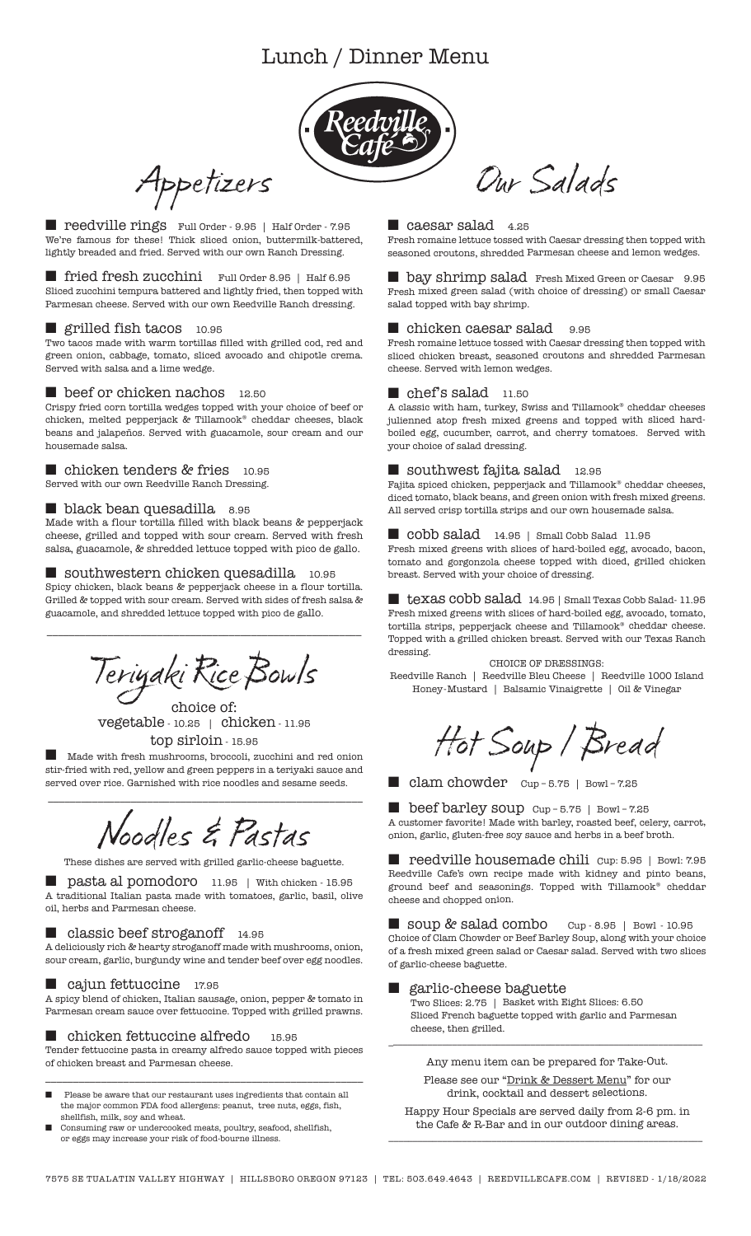# Lunch / Dinner Menu



Appetizers

■ reedville rings Full Order - 9.95 | Half Order - 7.95 We're famous for these! Thick sliced onion, buttermilk-battered, lightly breaded and fried. Served with our own Ranch Dressing.

■ fried fresh zucchini Full Order 8.95 | Half 6.95 Sliced zucchini tempura battered and lightly fried, then topped with Parmesan cheese. Served with our own Reedville Ranch dressing.

## ■ grilled fish tacos 10.95

Two tacos made with warm tortillas filled with grilled cod, red and green onion, cabbage, tomato, sliced avocado and chipotle crema. Served with salsa and a lime wedge.

#### ■ beef or chicken nachos 12.50

Crispy fried corn tortilla wedges topped with your choice of beef or chicken, melted pepperjack & Tillamook® cheddar cheeses, black beans and jalapeños. Served with guacamole, sour cream and our housemade salsa.

#### ■ chicken tenders & fries 10.95 Served with our own Reedville Ranch Dressing.

## ■ black bean quesadilla 8.95

Made with a flour tortilla filled with black beans & pepperjack cheese, grilled and topped with sour cream. Served with fresh salsa, guacamole, & shredded lettuce topped with pico de gallo.

#### ■ southwestern chicken quesadilla 10.95

Spicy chicken, black beans & pepperjack cheese in a flour tortilla. Grilled & topped with sour cream. Served with sides of fresh salsa & guacamole, and shredded lettuce topped with pico de gallo.

\_\_\_\_\_\_\_\_\_\_\_\_\_\_\_\_\_\_\_\_\_\_\_\_\_\_\_\_\_\_\_\_\_\_\_\_\_\_\_\_\_\_\_\_\_\_\_\_\_\_\_\_\_\_\_\_\_

Teriyaki RiceBowls

choice of: vegetable - 10.25 | chicken - 11.95 top sirloin - 15.95

Made with fresh mushrooms, broccoli, zucchini and red onion stir-fried with red, yellow and green peppers in a teriyaki sauce and served over rice. Garnished with rice noodles and sesame seeds.

Noodles & Pastas

\_\_\_\_\_\_\_\_\_\_\_\_\_\_\_\_\_\_\_\_\_\_\_\_\_\_\_\_\_\_\_\_\_\_\_\_\_\_\_\_\_\_\_\_\_\_\_\_\_\_\_\_\_\_\_\_\_

These dishes are served with grilled garlic-cheese baguette.

pasta al pomodoro 11.95 | With chicken - 15.95 A traditional Italian pasta made with tomatoes, garlic, basil, olive oil, herbs and Parmesan cheese.

#### ■ classic beef stroganoff 14.95

A deliciously rich & hearty stroganoff made with mushrooms, onion, sour cream, garlic, burgundy wine and tender beef over egg noodles.

#### ■ cajun fettuccine 17.95

A spicy blend of chicken, Italian sausage, onion, pepper & tomato in Parmesan cream sauce over fettuccine. Topped with grilled prawns.

#### ■ chicken fettuccine alfredo 15.95

Tender fettuccine pasta in creamy alfredo sauce topped with pieces of chicken breast and Parmesan cheese. \_\_\_\_\_\_\_\_\_\_\_\_\_\_\_\_\_\_\_\_\_\_\_\_\_\_\_\_\_\_\_\_\_\_\_\_\_\_\_\_\_\_\_\_\_\_\_\_\_\_\_\_\_\_\_\_\_

- Please be aware that our restaurant uses ingredients that contain all the major common FDA food allergens: peanut, tree nuts, eggs, fish, shellfish, milk, soy and wheat.
- Consuming raw or undercooked meats, poultry, seafood, shellfish, or eggs may increase your risk of food-bourne illness.

#### ■ caesar salad 4.25

Fresh romaine lettuce tossed with Caesar dressing then topped with seasoned croutons, shredded Parmesan cheese and lemon wedges.

Our Salads

■ bay shrimp salad Fresh Mixed Green or Caesar 9.95 Fresh mixed green salad (with choice of dressing) or small Caesar salad topped with bay shrimp.

## chicken caesar salad 9.95

Fresh romaine lettuce tossed with Caesar dressing then topped with sliced chicken breast, seasoned croutons and shredded Parmesan cheese. Served with lemon wedges.

#### $\blacksquare$  chef's salad  $\,$  11.50  $\,$

 ${\bf A}$  classic with ham, turkey, Swiss and Tillamook® cheddar cheeses julienned atop fresh mixed greens and topped with sliced hardboiled egg, cucumber, carrot, and cherry tomatoes. Served with your choice of salad dressing.

#### $\blacksquare$  southwest fajita salad  $\hspace{0.1cm}$  12.95

Fajita spiced chicken, pepperjack and Tillamook® cheddar cheeses, diced tomato, black beans, and green onion with fresh mixed greens. All served crisp tortilla strips and our own housemade salsa.

## ■ cobb salad 14.95 | Small Cobb Salad 11.95

Fresh mixed greens with slices of hard-boiled egg, avocado, bacon, tomato and gorgonzola cheese topped with diced, grilled chicken breast. Served with your choice of dressing.

 $\blacksquare$  texas cobb salad $\,$  14.95 | Small Texas Cobb Salad- 11.95  $\,$ Fresh mixed greens with slices of hard-boiled egg, avocado, tomato, tortilla strips, pepperjack cheese and Tillamook® cheddar cheese. Topped with a grilled chicken breast. Served with our Texas Ranch dressing.

#### CHOICE OF DRESSINGS:

Reedville Ranch | Reedville Bleu Cheese | Reedville 1000 Island Honey-Mustard | Balsamic Vinaigrette | Oil & Vinegar

Hot Soup / Bread

■ clam chowder cup-5.75 | Bowl-7.25

■ beef barley soup Cup – 5.75 | Bowl – 7.25 A customer favorite! Made with barley, roasted beef, celery, carrot, onion, garlic, gluten-free soy sauce and herbs in a beef broth.

■ reedville housemade chili Cup: 5.95 | Bowl: 7.95 Reedville Cafe's own recipe made with kidney and pinto beans, ground beef and seasonings. Topped with Tillamook® cheddar cheese and chopped onion.

■ soup & salad combo Cup - 8.95 | Bowl - 10.95 Choice of Clam Chowder or Beef Barley Soup, along with your choice of a fresh mixed green salad or Caesar salad. Served with two slices of garlic-cheese baguette.

#### ■garlic-cheese baguette

Two Slices: 2.75 | Basket with Eight Slices: 6.50 Sliced French baguette topped with garlic and Parmesan cheese, then grilled.

Any menu item can be prepared for Take-Out.

Please see our "Drink & Dessert Menu" for our drink, cocktail and dessert selections.

Happy Hour Specials are served daily from 2-6 pm. in the Cafe & R-Bar and in our outdoor dining areas. \_\_\_\_\_\_\_\_\_\_\_\_\_\_\_\_\_\_\_\_\_\_\_\_\_\_\_\_\_\_\_\_\_\_\_\_\_\_\_\_\_\_\_\_\_\_\_\_\_\_\_\_\_\_\_\_\_\_\_\_\_\_\_\_